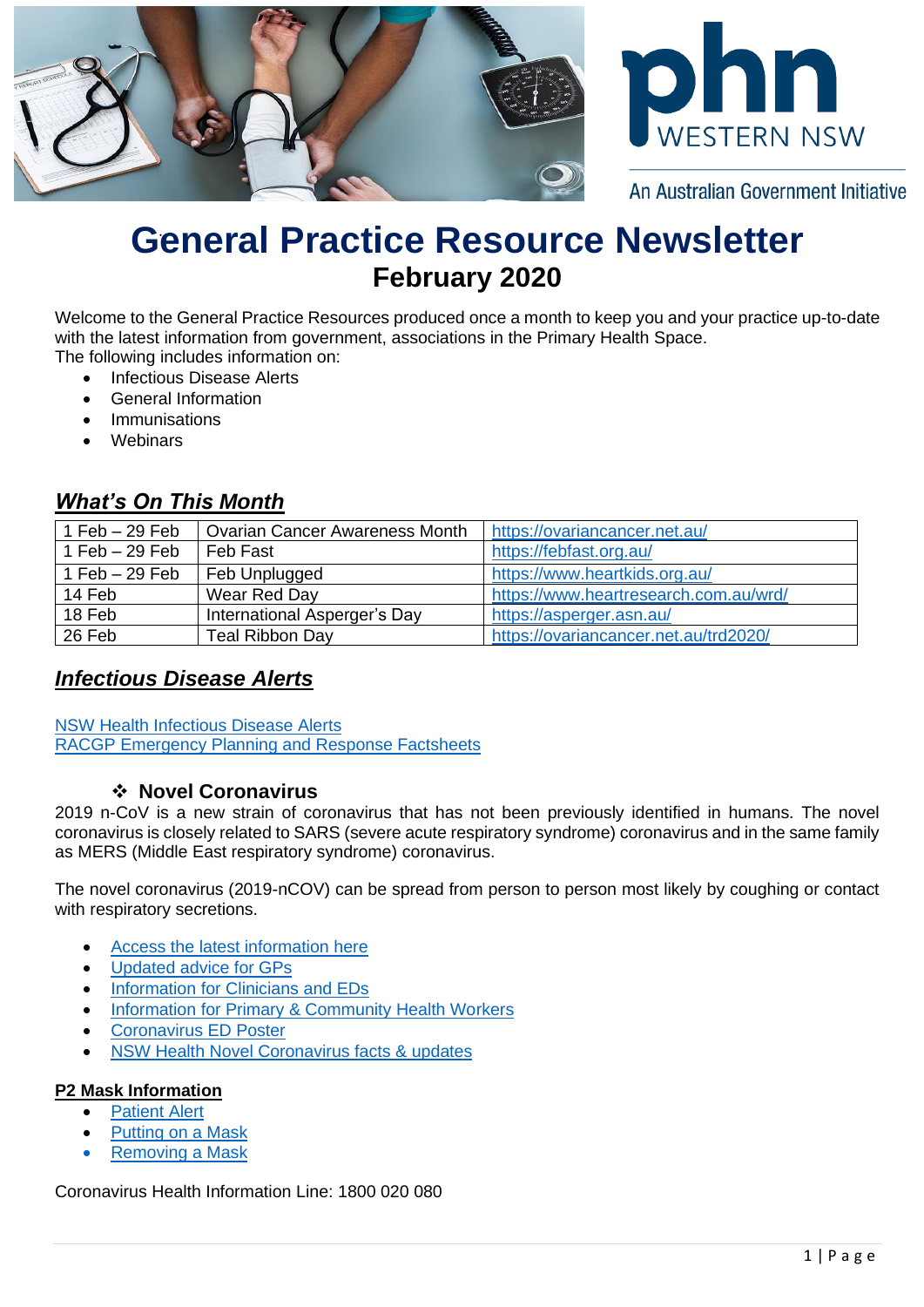



An Australian Government Initiative

# **General Practice Resource Newsletter February 2020**

Welcome to the General Practice Resources produced once a month to keep you and your practice up-to-date with the latest information from government, associations in the Primary Health Space. The following includes information on:

- Infectious Disease Alerts
- General Information
- **Immunisations**
- Webinars

## *What's On This Month*

| 1 Feb $-$ 29 Feb | <b>Ovarian Cancer Awareness Month</b> | https://ovariancancer.net.au/         |  |
|------------------|---------------------------------------|---------------------------------------|--|
| 1 Feb $-29$ Feb  | Feb Fast                              | https://febfast.org.au/               |  |
| 1 Feb $-29$ Feb  | Feb Unplugged                         | https://www.heartkids.org.au/         |  |
| 14 Feb           | Wear Red Day                          | https://www.heartresearch.com.au/wrd/ |  |
| 18 Feb           | International Asperger's Day          | https://asperger.asn.au/              |  |
| 26 Feb           | <b>Teal Ribbon Day</b>                | https://ovariancancer.net.au/trd2020/ |  |

## *Infectious Disease Alerts*

[NSW Health Infectious Disease Alerts](https://www.health.nsw.gov.au/Infectious/alerts/Pages/default.aspx) [RACGP Emergency Planning and Response Factsheets](https://www.racgp.org.au/running-a-practice/practice-management/managing-emergencies-and-pandemics/fact-sheets)

#### ❖ **Novel Coronavirus**

2019 n-CoV is a new strain of coronavirus that has not been previously identified in humans. The novel coronavirus is closely related to SARS (severe acute respiratory syndrome) coronavirus and in the same family as MERS (Middle East respiratory syndrome) coronavirus.

The novel coronavirus (2019-nCOV) can be spread from person to person most likely by coughing or contact with respiratory secretions.

- [Access the latest](https://www.wnswphn.org.au/coronavirus) information here
- [Updated advice for GPs](https://www.wnswphn.org.au/uploads/documents/Practice%20Support/H20%209236%20%20Novel%20Coronavirus%20UPDATE%20-%20GP%20alert%2003Feb2020.pdf)
- [Information for Clinicians and EDs](https://www.wnswphn.org.au/uploads/documents/Practice%20Support/novel-cov-hosp-alert-20200110.pdf)
- [Information for Primary & Community Health Workers](https://www.wnswphn.org.au/uploads/documents/Practice%20Support/Information%20for%20Primary%20and%20Community%20Health%20Workers%20-%20Novel%20Coronavirus%20(nCoV)%20-%2023%20January%202020.pdf)
- [Coronavirus ED Poster](https://www.wnswphn.org.au/uploads/documents/Practice%20Support/coronavirus-ed-poster-english.pdf)
- [NSW Health Novel Coronavirus facts & updates](https://www.health.nsw.gov.au/Infectious/diseases/Pages/coronavirus.aspx)

#### **P2 Mask Information**

- **[Patient Alert](https://www.wnswphn.org.au/uploads/documents/Practice%20Support/Patient-alert.PDF)**
- [Putting on a Mask](https://www.wnswphn.org.au/uploads/documents/Practice%20Support/Putting-on-a-mask.PDF)
- [Removing a Mask](https://www.wnswphn.org.au/uploads/documents/Practice%20Support/Removing-a-mask.PDF)

Coronavirus Health Information Line: 1800 020 080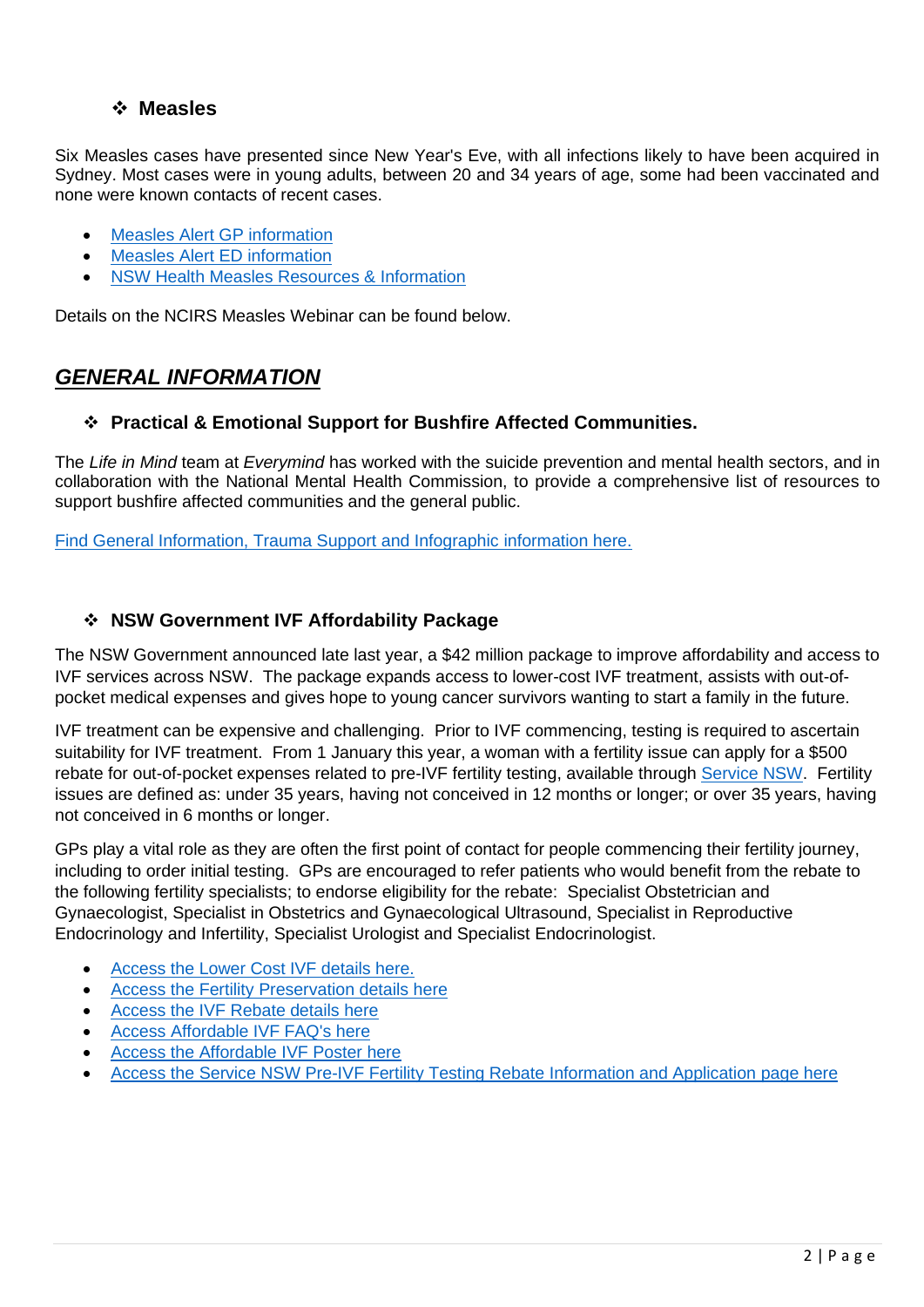#### ❖ **Measles**

Six Measles cases have presented since New Year's Eve, with all infections likely to have been acquired in Sydney. Most cases were in young adults, between 20 and 34 years of age, some had been vaccinated and none were known contacts of recent cases.

- [Measles Alert GP information](https://www.wnswphn.org.au/uploads/documents/newsletters/Drs%20Notes%20January%202020/gp-measles-alert-20200109.pdf)
- [Measles Alert ED](https://www.wnswphn.org.au/uploads/documents/newsletters/Drs%20Notes%20January%202020/ed-measles-alert-20200109.pdf) information
- [NSW Health Measles Resources & Information](https://www.health.nsw.gov.au/Infectious/measles/Pages/default.aspx)

Details on the NCIRS Measles Webinar can be found below.

# *GENERAL INFORMATION*

#### ❖ **Practical & Emotional Support for Bushfire Affected Communities.**

The *Life in Mind* team at *Everymind* has worked with the suicide prevention and mental health sectors, and in collaboration with the National Mental Health Commission, to provide a comprehensive list of resources to support bushfire affected communities and the general public.

[Find General Information, Trauma Support and Infographic information here.](https://www.lifeinmindaustralia.com.au/mental-health-support-for-bushfire-affected-communities)

#### ❖ **NSW Government IVF Affordability Package**

The NSW Government announced late last year, a \$42 million package to improve affordability and access to IVF services across NSW. The package expands access to lower-cost IVF treatment, assists with out-ofpocket medical expenses and gives hope to young cancer survivors wanting to start a family in the future.

IVF treatment can be expensive and challenging. Prior to IVF commencing, testing is required to ascertain suitability for IVF treatment. From 1 January this year, a woman with a fertility issue can apply for a \$500 rebate for out-of-pocket expenses related to pre-IVF fertility testing, available through [Service NSW.](https://www.service.nsw.gov.au/transaction/apply-pre-ivf-fertility-testing-rebate) Fertility issues are defined as: under 35 years, having not conceived in 12 months or longer; or over 35 years, having not conceived in 6 months or longer.

GPs play a vital role as they are often the first point of contact for people commencing their fertility journey, including to order initial testing. GPs are encouraged to refer patients who would benefit from the rebate to the following fertility specialists; to endorse eligibility for the rebate: Specialist Obstetrician and Gynaecologist, Specialist in Obstetrics and Gynaecological Ultrasound, Specialist in Reproductive Endocrinology and Infertility, Specialist Urologist and Specialist Endocrinologist.

- [Access the Lower Cost IVF details here.](https://www.wnswphn.org.au/uploads/documents/newsletters/Drs%20Notes%20January%202020/Affordable%20IVF%20-%20Infographic%20-%20Lower%20Cost%20IVF%20treatment.pdf)
- [Access the Fertility Preservation details here](https://www.wnswphn.org.au/uploads/documents/newsletters/Drs%20Notes%20January%202020/Affordable%20IVF%20Infographic%20-%20Fertility%20Preservation.pdf)
- [Access the IVF Rebate details here](https://www.wnswphn.org.au/uploads/documents/newsletters/Drs%20Notes%20January%202020/Affordable%20IVF%20-%20Infographic%20-%20Rebate.pdf)
- [Access Affordable IVF FAQ's here](https://www.wnswphn.org.au/uploads/documents/newsletters/Drs%20Notes%20January%202020/Affordable%20IVF%20-%20FAQs.pdf)
- [Access the Affordable IVF Poster here](https://www.wnswphn.org.au/uploads/documents/newsletters/Drs%20Notes%20January%202020/Affordable%20IVF%20-%20A4%20Downloadable%20Poster.pdf)
- [Access the Service NSW Pre-IVF Fertility Testing Rebate Information and Application page here](https://www.service.nsw.gov.au/transaction/apply-pre-ivf-fertility-testing-rebate)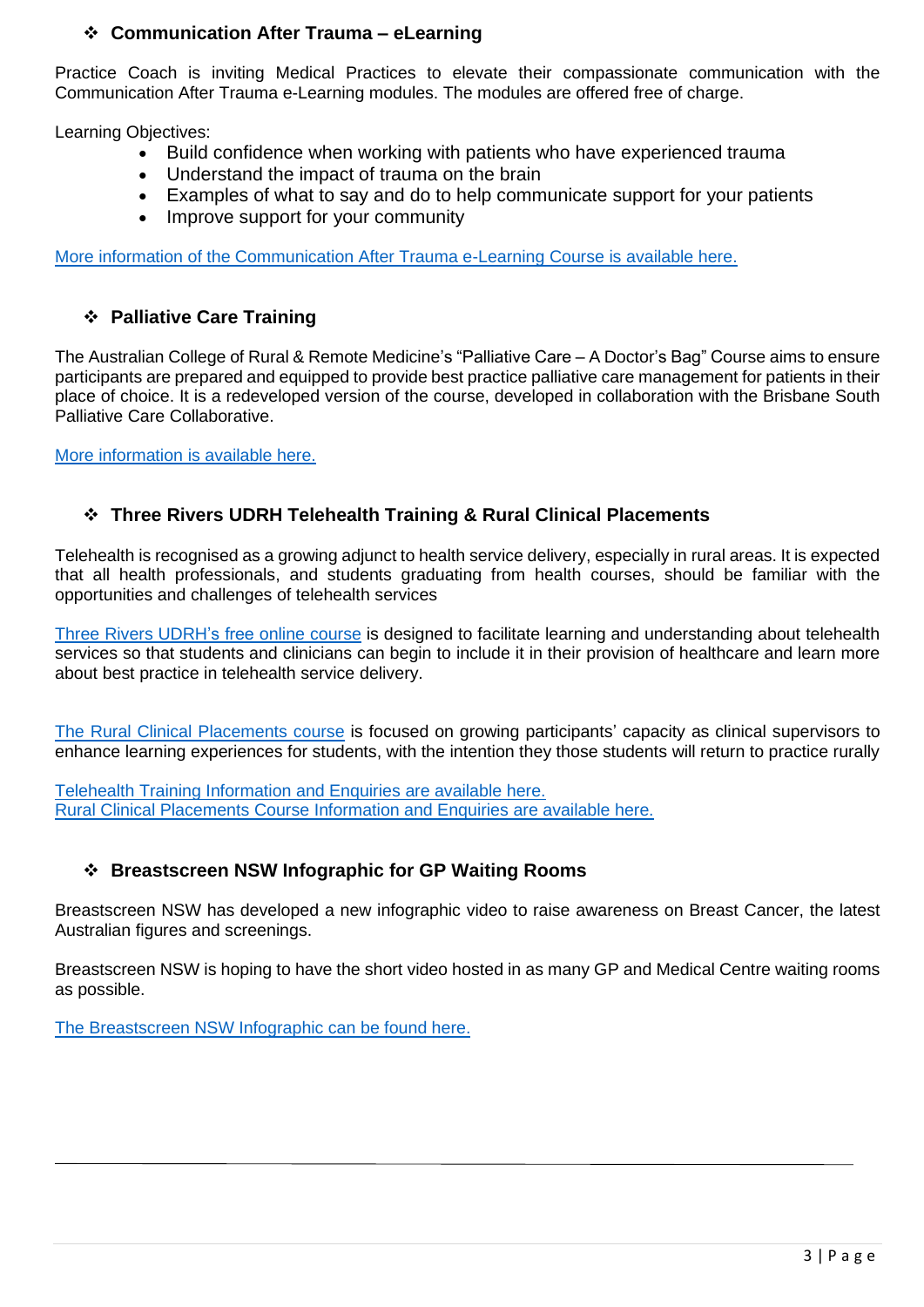#### ❖ **Communication After Trauma – eLearning**

Practice Coach is inviting Medical Practices to elevate their compassionate communication with the Communication After Trauma e-Learning modules. The modules are offered free of charge.

Learning Objectives:

- Build confidence when working with patients who have experienced trauma
- Understand the impact of trauma on the brain
- Examples of what to say and do to help communicate support for your patients
- Improve support for your community

[More information of the Communication After Trauma e-Learning Course is available here.](http://practicecoach.com.au/course/communication-after-trauma/)

#### ❖ **Palliative Care Training**

The Australian College of Rural & Remote Medicine's "Palliative Care – A Doctor's Bag" Course aims to ensure participants are prepared and equipped to provide best practice palliative care management for patients in their place of choice. It is a redeveloped version of the course, developed in collaboration with the Brisbane South Palliative Care Collaborative.

[More information is available here.](https://www.acrrm.org.au/search/find-online-learning/details?id=1035&title=Palliative%20Care%20-%20A%20Doctors%20Bag&utm_source=palliativecare)

#### ❖ **Three Rivers UDRH Telehealth Training & Rural Clinical Placements**

Telehealth is recognised as a growing adjunct to health service delivery, especially in rural areas. It is expected that all health professionals, and students graduating from health courses, should be familiar with the opportunities and challenges of telehealth services

[Three Rivers UDRH's free](https://www.wnswphn.org.au/uploads/documents/Practice%20Support/Telehealth%20Online%20Modules%20Course.pdf) online course is designed to facilitate learning and understanding about telehealth services so that students and clinicians can begin to include it in their provision of healthcare and learn more about best practice in telehealth service delivery.

[The Rural Clinical Placements course](https://www.wnswphn.org.au/uploads/documents/Practice%20Support/Flyer%20-%20Clinicians%20-%20Rural%20Clinical%20Placements%20-%20How%20to%20grow%20your%20own.pdf) is focused on growing participants' capacity as clinical supervisors to enhance learning experiences for students, with the intention they those students will return to practice rurally

[Telehealth Training Information and Enquiries](https://threerivers.csu.edu.au/telehealth) are available here. [Rural Clinical Placements Course Information and Enquiries](https://www.openlearning.com/csu/courses/three-rivers-udrh-rural-clinical-placements-how-to-grow-your-own/) are available here.

#### ❖ **Breastscreen NSW Infographic for GP Waiting Rooms**

Breastscreen NSW has developed a new infographic video to raise awareness on Breast Cancer, the latest Australian figures and screenings.

Breastscreen NSW is hoping to have the short video hosted in as many GP and Medical Centre waiting rooms as possible.

[The Breastscreen NSW Infographic can be found here.](https://www.wnswphn.org.au/uploads/documents/Practice%20Support/Breastscreen-Infographic-GP-HQ.mp4)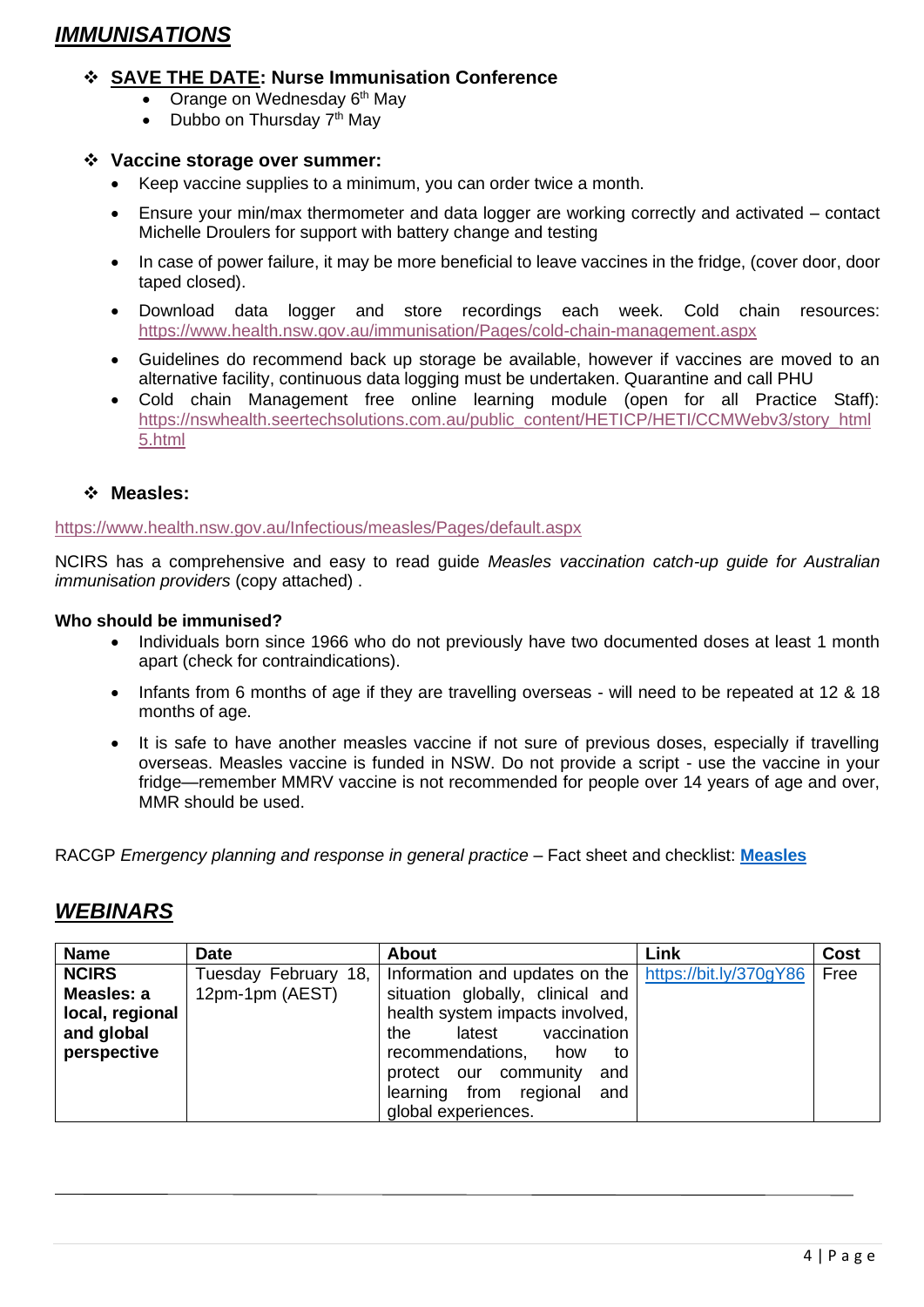## *IMMUNISATIONS*

#### ❖ **SAVE THE DATE: Nurse Immunisation Conference**

- Orange on Wednesday 6<sup>th</sup> May
- Dubbo on Thursday  $7<sup>th</sup>$  May

#### ❖ **Vaccine storage over summer:**

- Keep vaccine supplies to a minimum, you can order twice a month.
- Ensure your min/max thermometer and data logger are working correctly and activated contact Michelle Droulers for support with battery change and testing
- In case of power failure, it may be more beneficial to leave vaccines in the fridge, (cover door, door taped closed).
- Download data logger and store recordings each week. Cold chain resources: <https://www.health.nsw.gov.au/immunisation/Pages/cold-chain-management.aspx>
- Guidelines do recommend back up storage be available, however if vaccines are moved to an alternative facility, continuous data logging must be undertaken. Quarantine and call PHU
- Cold chain Management free online learning module (open for all Practice Staff): [https://nswhealth.seertechsolutions.com.au/public\\_content/HETICP/HETI/CCMWebv3/story\\_html](https://nswhealth.seertechsolutions.com.au/public_content/HETICP/HETI/CCMWebv3/story_html5.html) [5.html](https://nswhealth.seertechsolutions.com.au/public_content/HETICP/HETI/CCMWebv3/story_html5.html)

#### ❖ **Measles:**

<https://www.health.nsw.gov.au/Infectious/measles/Pages/default.aspx>

NCIRS has a comprehensive and easy to read guide *Measles vaccination catch-up guide for Australian immunisation providers* (copy attached) .

#### **Who should be immunised?**

- Individuals born since 1966 who do not previously have two documented doses at least 1 month apart (check for contraindications).
- Infants from 6 months of age if they are travelling overseas will need to be repeated at 12 & 18 months of age.
- It is safe to have another measles vaccine if not sure of previous doses, especially if travelling overseas. Measles vaccine is funded in NSW. Do not provide a script - use the vaccine in your fridge—remember MMRV vaccine is not recommended for people over 14 years of age and over, MMR should be used.

RACGP *Emergency planning and response in general practice* – Fact sheet and checklist: **[Measles](https://www.racgp.org.au/FSDEDEV/media/documents/Running%20a%20practice/Support%20and%20tools/Factsheet-and-checklist-Measles.pdf)**

### *WEBINARS*

| <b>Name</b>     | <b>Date</b>          | <b>About</b>                                              | Link | Cost |
|-----------------|----------------------|-----------------------------------------------------------|------|------|
| <b>NCIRS</b>    | Tuesday February 18, | Information and updates on the $ $ https://bit.ly/370gY86 |      | Free |
| Measles: a      | 12pm-1pm (AEST)      | situation globally, clinical and                          |      |      |
| local, regional |                      | health system impacts involved,                           |      |      |
| and global      |                      | vaccination<br>latest<br>the                              |      |      |
| perspective     |                      | recommendations,<br>how<br>to                             |      |      |
|                 |                      | protect our community<br>and                              |      |      |
|                 |                      | learning from regional<br>and                             |      |      |
|                 |                      | global experiences.                                       |      |      |